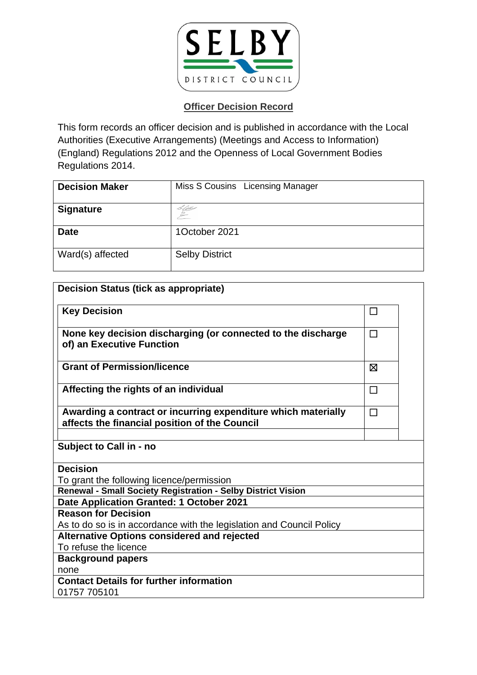

| <b>Decision Maker</b> | Miss S Cousins Licensing Manager |
|-----------------------|----------------------------------|
| <b>Signature</b>      | <u>L'a</u> ss                    |
| <b>Date</b>           | 1October 2021                    |
| Ward(s) affected      | <b>Selby District</b>            |

| <b>Decision Status (tick as appropriate)</b>                                                                   |        |  |
|----------------------------------------------------------------------------------------------------------------|--------|--|
| <b>Key Decision</b>                                                                                            | □      |  |
| None key decision discharging (or connected to the discharge<br>of) an Executive Function                      | $\Box$ |  |
| <b>Grant of Permission/licence</b>                                                                             | ⊠      |  |
| Affecting the rights of an individual                                                                          | $\Box$ |  |
| Awarding a contract or incurring expenditure which materially<br>affects the financial position of the Council | П      |  |
| Subject to Call in - no                                                                                        |        |  |
| <b>Decision</b>                                                                                                |        |  |
| To grant the following licence/permission                                                                      |        |  |
| Renewal - Small Society Registration - Selby District Vision                                                   |        |  |
| Date Application Granted: 1 October 2021                                                                       |        |  |
| <b>Reason for Decision</b>                                                                                     |        |  |
| As to do so is in accordance with the legislation and Council Policy                                           |        |  |
| <b>Alternative Options considered and rejected</b>                                                             |        |  |
| To refuse the licence                                                                                          |        |  |
| <b>Background papers</b>                                                                                       |        |  |
| none                                                                                                           |        |  |
| <b>Contact Details for further information</b><br>01757 705101                                                 |        |  |
|                                                                                                                |        |  |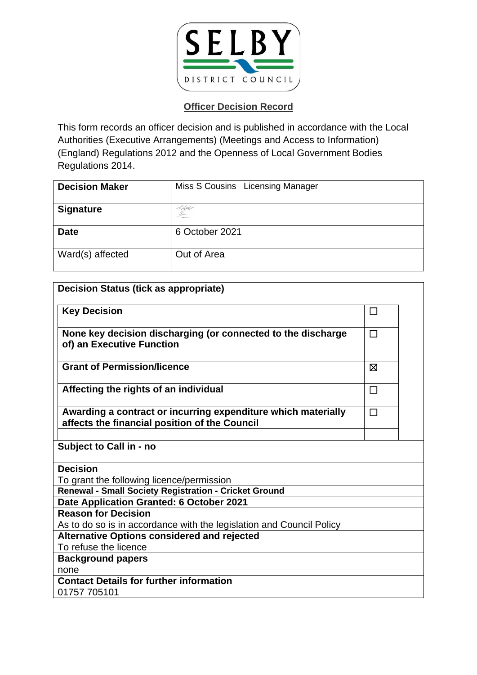

| <b>Decision Maker</b> | Miss S Cousins Licensing Manager |
|-----------------------|----------------------------------|
| <b>Signature</b>      | S Libbo                          |
| <b>Date</b>           | 6 October 2021                   |
| Ward(s) affected      | Out of Area                      |

| <b>Decision Status (tick as appropriate)</b>                                                                   |        |  |
|----------------------------------------------------------------------------------------------------------------|--------|--|
| <b>Key Decision</b>                                                                                            | □      |  |
| None key decision discharging (or connected to the discharge<br>of) an Executive Function                      | П      |  |
| <b>Grant of Permission/licence</b>                                                                             | ⊠      |  |
| Affecting the rights of an individual                                                                          | $\Box$ |  |
| Awarding a contract or incurring expenditure which materially<br>affects the financial position of the Council | П      |  |
| Subject to Call in - no                                                                                        |        |  |
| <b>Decision</b>                                                                                                |        |  |
| To grant the following licence/permission                                                                      |        |  |
| Renewal - Small Society Registration - Cricket Ground                                                          |        |  |
| Date Application Granted: 6 October 2021                                                                       |        |  |
| <b>Reason for Decision</b>                                                                                     |        |  |
| As to do so is in accordance with the legislation and Council Policy                                           |        |  |
| <b>Alternative Options considered and rejected</b>                                                             |        |  |
| To refuse the licence                                                                                          |        |  |
| <b>Background papers</b>                                                                                       |        |  |
| none                                                                                                           |        |  |
| <b>Contact Details for further information</b>                                                                 |        |  |
| 01757 705101                                                                                                   |        |  |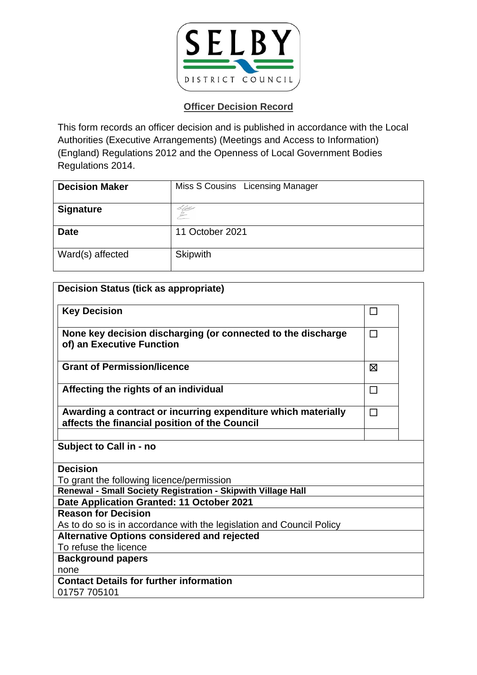

| <b>Decision Maker</b> | Miss S Cousins Licensing Manager |
|-----------------------|----------------------------------|
| <b>Signature</b>      | <u>L'Atte</u>                    |
| <b>Date</b>           | 11 October 2021                  |
| Ward(s) affected      | <b>Skipwith</b>                  |

| <b>Decision Status (tick as appropriate)</b>                                                                   |        |
|----------------------------------------------------------------------------------------------------------------|--------|
| <b>Key Decision</b>                                                                                            | П      |
| None key decision discharging (or connected to the discharge<br>of) an Executive Function                      | $\Box$ |
| <b>Grant of Permission/licence</b>                                                                             | ⊠      |
| Affecting the rights of an individual                                                                          | $\Box$ |
| Awarding a contract or incurring expenditure which materially<br>affects the financial position of the Council | $\Box$ |
| Subject to Call in - no                                                                                        |        |
| <b>Decision</b>                                                                                                |        |
| To grant the following licence/permission                                                                      |        |
| Renewal - Small Society Registration - Skipwith Village Hall                                                   |        |
| Date Application Granted: 11 October 2021                                                                      |        |
| <b>Reason for Decision</b>                                                                                     |        |
| As to do so is in accordance with the legislation and Council Policy                                           |        |
| <b>Alternative Options considered and rejected</b>                                                             |        |
| To refuse the licence                                                                                          |        |
| <b>Background papers</b>                                                                                       |        |
| none                                                                                                           |        |
| <b>Contact Details for further information</b><br>01757 705101                                                 |        |
|                                                                                                                |        |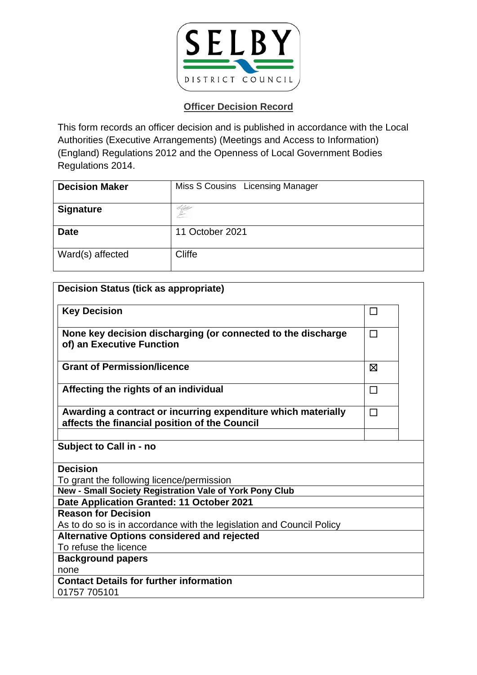

| <b>Decision Maker</b> | Miss S Cousins Licensing Manager |
|-----------------------|----------------------------------|
| <b>Signature</b>      | 6600                             |
| <b>Date</b>           | 11 October 2021                  |
| Ward(s) affected      | Cliffe                           |

| <b>Decision Status (tick as appropriate)</b>                                                                   |        |  |
|----------------------------------------------------------------------------------------------------------------|--------|--|
| <b>Key Decision</b>                                                                                            | □      |  |
| None key decision discharging (or connected to the discharge<br>of) an Executive Function                      | П      |  |
| <b>Grant of Permission/licence</b>                                                                             | ⊠      |  |
| Affecting the rights of an individual                                                                          | $\Box$ |  |
| Awarding a contract or incurring expenditure which materially<br>affects the financial position of the Council | П      |  |
| Subject to Call in - no                                                                                        |        |  |
| <b>Decision</b>                                                                                                |        |  |
| To grant the following licence/permission                                                                      |        |  |
| New - Small Society Registration Vale of York Pony Club                                                        |        |  |
| Date Application Granted: 11 October 2021                                                                      |        |  |
| <b>Reason for Decision</b>                                                                                     |        |  |
| As to do so is in accordance with the legislation and Council Policy                                           |        |  |
| <b>Alternative Options considered and rejected</b>                                                             |        |  |
| To refuse the licence                                                                                          |        |  |
| <b>Background papers</b>                                                                                       |        |  |
| none                                                                                                           |        |  |
| <b>Contact Details for further information</b><br>01757 705101                                                 |        |  |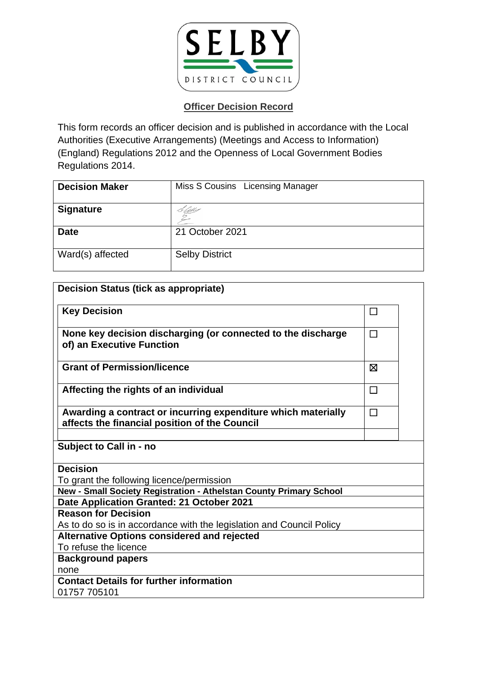

| <b>Decision Maker</b> | Miss S Cousins Licensing Manager |
|-----------------------|----------------------------------|
| <b>Signature</b>      |                                  |
| <b>Date</b>           | 21 October 2021                  |
| Ward(s) affected      | <b>Selby District</b>            |

| <b>Decision Status (tick as appropriate)</b>                                                                   |        |  |
|----------------------------------------------------------------------------------------------------------------|--------|--|
| <b>Key Decision</b>                                                                                            | □      |  |
| None key decision discharging (or connected to the discharge<br>of) an Executive Function                      | П      |  |
| <b>Grant of Permission/licence</b>                                                                             | X      |  |
| Affecting the rights of an individual                                                                          | $\Box$ |  |
| Awarding a contract or incurring expenditure which materially<br>affects the financial position of the Council | $\Box$ |  |
| Subject to Call in - no                                                                                        |        |  |
| <b>Decision</b>                                                                                                |        |  |
| To grant the following licence/permission                                                                      |        |  |
| New - Small Society Registration - Athelstan County Primary School                                             |        |  |
| Date Application Granted: 21 October 2021                                                                      |        |  |
| <b>Reason for Decision</b>                                                                                     |        |  |
| As to do so is in accordance with the legislation and Council Policy                                           |        |  |
| <b>Alternative Options considered and rejected</b>                                                             |        |  |
| To refuse the licence                                                                                          |        |  |
| <b>Background papers</b>                                                                                       |        |  |
| none                                                                                                           |        |  |
| <b>Contact Details for further information</b>                                                                 |        |  |
| 01757 705101                                                                                                   |        |  |